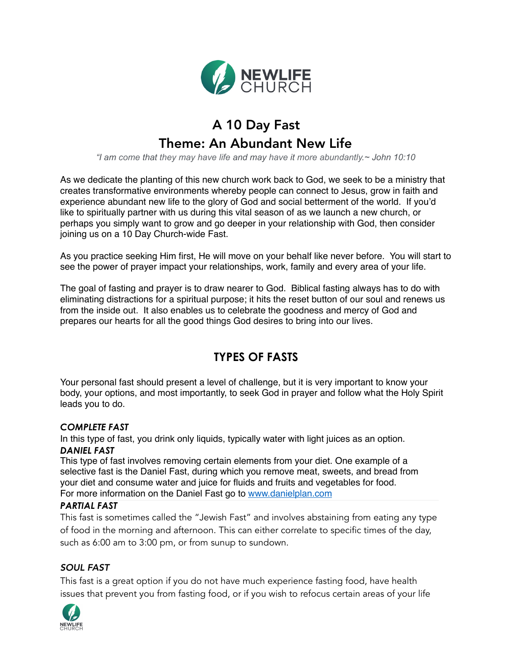

# A 10 Day Fast Theme: An Abundant New Life

*"I am come that they may have life and may have it more abundantly.~ John 10:10*

As we dedicate the planting of this new church work back to God, we seek to be a ministry that creates transformative environments whereby people can connect to Jesus, grow in faith and experience abundant new life to the glory of God and social betterment of the world. If you'd like to spiritually partner with us during this vital season of as we launch a new church, or perhaps you simply want to grow and go deeper in your relationship with God, then consider joining us on a 10 Day Church-wide Fast.

As you practice seeking Him first, He will move on your behalf like never before. You will start to see the power of prayer impact your relationships, work, family and every area of your life.

The goal of fasting and prayer is to draw nearer to God. Biblical fasting always has to do with eliminating distractions for a spiritual purpose; it hits the reset button of our soul and renews us from the inside out. It also enables us to celebrate the goodness and mercy of God and prepares our hearts for all the good things God desires to bring into our lives.

### **TYPES OF FASTS**

Your personal fast should present a level of challenge, but it is very important to know your body, your options, and most importantly, to seek God in prayer and follow what the Holy Spirit leads you to do.

### *COMPLETE FAST*

In this type of fast, you drink only liquids, typically water with light juices as an option. *DANIEL FAST* 

This type of fast involves removing certain elements from your diet. One example of a selective fast is the Daniel Fast, during which you remove meat, sweets, and bread from your diet and consume water and juice for fluids and fruits and vegetables for food. For more information on the Daniel Fast go to [www.danielplan.com](http://www.danielplan.com)

#### *PARTIAL FAST*

This fast is sometimes called the "Jewish Fast" and involves abstaining from eating any type of food in the morning and afternoon. This can either correlate to specific times of the day, such as 6:00 am to 3:00 pm, or from sunup to sundown.

### *SOUL FAST*

This fast is a great option if you do not have much experience fasting food, have health issues that prevent you from fasting food, or if you wish to refocus certain areas of your life

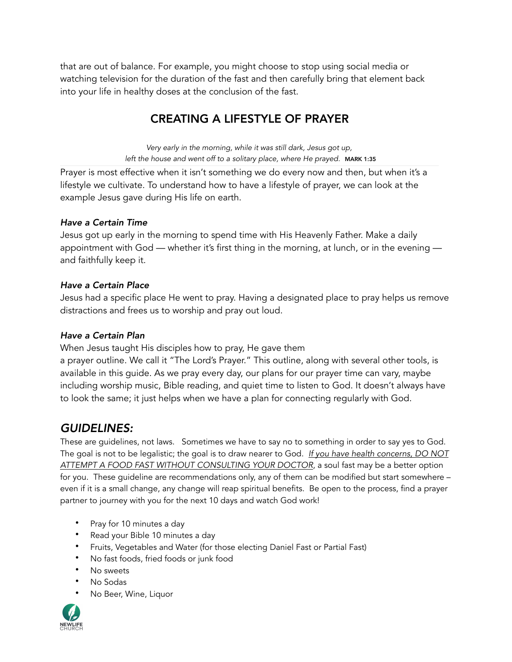that are out of balance. For example, you might choose to stop using social media or watching television for the duration of the fast and then carefully bring that element back into your life in healthy doses at the conclusion of the fast.

## CREATING A LIFESTYLE OF PRAYER

*Very early in the morning, while it was still dark, Jesus got up, left the house and went off to a solitary place, where He prayed.* MARK 1:35

Prayer is most effective when it isn't something we do every now and then, but when it's a lifestyle we cultivate. To understand how to have a lifestyle of prayer, we can look at the example Jesus gave during His life on earth.

#### *Have a Certain Time*

Jesus got up early in the morning to spend time with His Heavenly Father. Make a daily appointment with God — whether it's first thing in the morning, at lunch, or in the evening and faithfully keep it.

### *Have a Certain Place*

Jesus had a specific place He went to pray. Having a designated place to pray helps us remove distractions and frees us to worship and pray out loud.

### *Have a Certain Plan*

When Jesus taught His disciples how to pray, He gave them

a prayer outline. We call it "The Lord's Prayer." This outline, along with several other tools, is available in this guide. As we pray every day, our plans for our prayer time can vary, maybe including worship music, Bible reading, and quiet time to listen to God. It doesn't always have to look the same; it just helps when we have a plan for connecting regularly with God.

### *GUIDELINES:*

These are guidelines, not laws. Sometimes we have to say no to something in order to say yes to God. The goal is not to be legalistic; the goal is to draw nearer to God. *If you have health concerns, DO NOT ATTEMPT A FOOD FAST WITHOUT CONSULTING YOUR DOCTOR*, a soul fast may be a better option for you. These guideline are recommendations only, any of them can be modified but start somewhere – even if it is a small change, any change will reap spiritual benefits. Be open to the process, find a prayer partner to journey with you for the next 10 days and watch God work!

- Pray for 10 minutes a day
- Read your Bible 10 minutes a day
- Fruits, Vegetables and Water (for those electing Daniel Fast or Partial Fast)
- No fast foods, fried foods or junk food
- No sweets
- No Sodas
- No Beer, Wine, Liquor